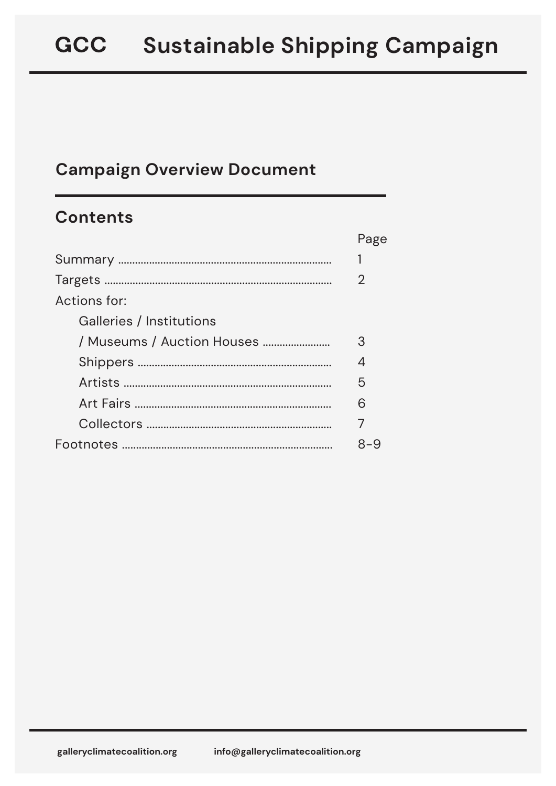## **Campaign Overview Document**

## **Contents**

|                            | Page |
|----------------------------|------|
|                            |      |
|                            | 2    |
| Actions for:               |      |
| Galleries / Institutions   |      |
| / Museums / Auction Houses | 3    |
|                            | 4    |
|                            | 5    |
|                            | 6    |
|                            |      |
|                            | 8-9  |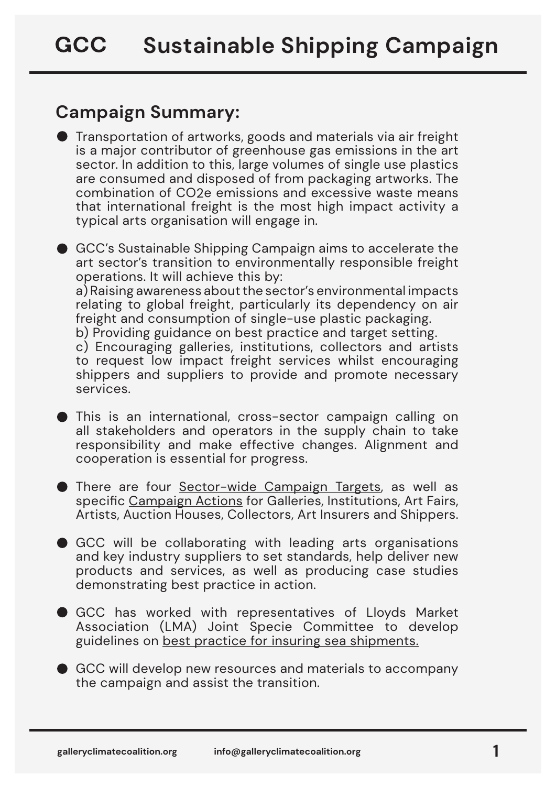# <span id="page-1-0"></span>**Campaign Summary:**

Transportation of artworks, goods and materials via air freight is a major contributor of greenhouse gas emissions in the art sector. In addition to this, large volumes of single use plastics are consumed and disposed of from packaging artworks. The combination of CO2e emissions and excessive waste means that international freight is the most high impact activity a typical arts organisation will engage in.

GCC's Sustainable Shipping Campaign aims to accelerate the art sector's transition to environmentally responsible freight operations. It will achieve this by: a) Raising awareness about the sector's environmental impacts relating to global freight, particularly its dependency on air freight and consumption of single-use plastic packaging. b) Providing guidance on best practice and target setting.

c) Encouraging galleries, institutions, collectors and artists to request low impact freight services whilst encouraging shippers and suppliers to provide and promote necessary services.

- This is an international, cross-sector campaign calling on all stakeholders and operators in the supply chain to take responsibility and make effective changes. Alignment and cooperation is essential for progress.
- There are four [Sector-wide Campaign Targets,](#page-2-0) as well as specific [Campaign Actions f](#page-3-0)or Galleries, Institutions, Art Fairs, Artists, Auction Houses, Collectors, Art Insurers and Shippers.
- GCC will be collaborating with leading arts organisations and key industry suppliers to set standards, help deliver new products and services, as well as producing case studies demonstrating best practice in action.
- GCC has worked with representatives of Lloyds Market Association (LMA) Joint Specie Committee to develop guidelines on [best practice for insuring sea shipments.](https://galleryclimatecoalition.org/usr/library/documents/ssc/gcc_ssc_insurance-full-doc.pdf)
- GCC will develop new resources and materials to accompany the campaign and assist the transition.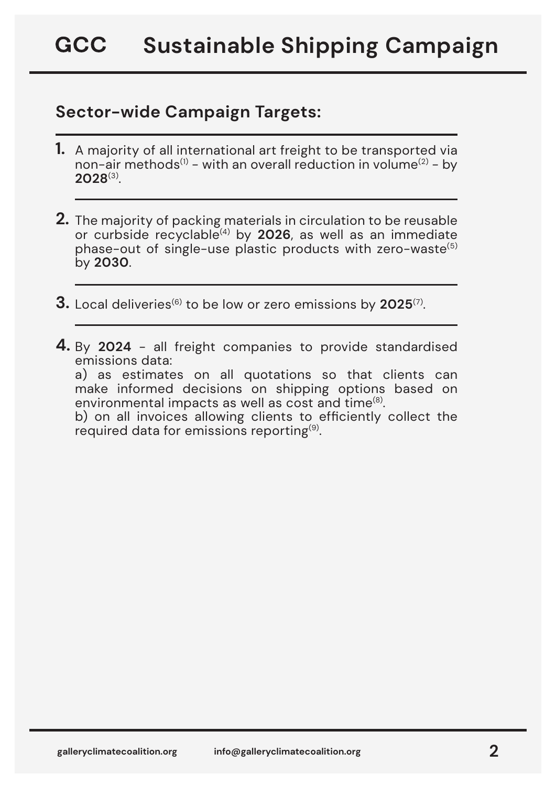### <span id="page-2-0"></span>**Sector-wide Campaign Targets:**

- **1.** A majority of all international art freight to be transported via non-air methods<sup>(1)</sup> - with an overall reduction in volume<sup>(2)</sup> - by **2028**(3).
- **2.** The majority of packing materials in circulation to be reusable or curbside recyclable(4) by **2026**, as well as an immediate phase-out of single-use plastic products with zero-waste<sup>(5)</sup> by **2030**.
- $3.$  Local deliveries<sup>(6)</sup> to be low or zero emissions by 2025<sup>(7)</sup>.
- **4.** By 2024 all freight companies to provide standardised emissions data:

a) as estimates on all quotations so that clients can make informed decisions on shipping options based on environmental impacts as well as cost and time(8).

b) on all invoices allowing clients to efficiently collect the required data for emissions reporting $(9)$ .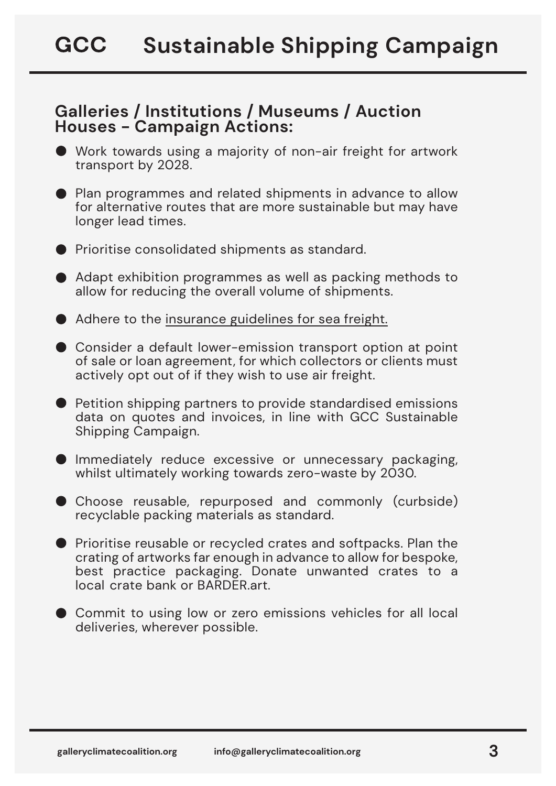#### <span id="page-3-0"></span>**Galleries / Institutions / Museums / Auction Houses - Campaign Actions:**

- Work towards using a majority of non-air freight for artwork transport by 2028.
- **•** Plan programmes and related shipments in advance to allow for alternative routes that are more sustainable but may have longer lead times.
- **•** Prioritise consolidated shipments as standard.
- Adapt exhibition programmes as well as packing methods to allow for reducing the overall volume of shipments.
- Adhere to the [insurance guidelines for sea freight.](https://galleryclimatecoalition.org/usr/library/documents/ssc/gcc_ssc_insurance-full-doc.pdf)
- Consider a default lower-emission transport option at point of sale or loan agreement, for which collectors or clients must actively opt out of if they wish to use air freight.
- Petition shipping partners to provide standardised emissions data on quotes and invoices, in line with GCC Sustainable Shipping Campaign.
- Immediately reduce excessive or unnecessary packaging, whilst ultimately working towards zero-waste by 2030.
- Choose reusable, repurposed and commonly (curbside) recyclable packing materials as standard.
- **•** Prioritise reusable or recycled crates and softpacks. Plan the crating of artworks far enough in advance to allow for bespoke, best practice packaging. Donate unwanted crates to a local crate bank or BARDER.art.
- Commit to using low or zero emissions vehicles for all local deliveries, wherever possible.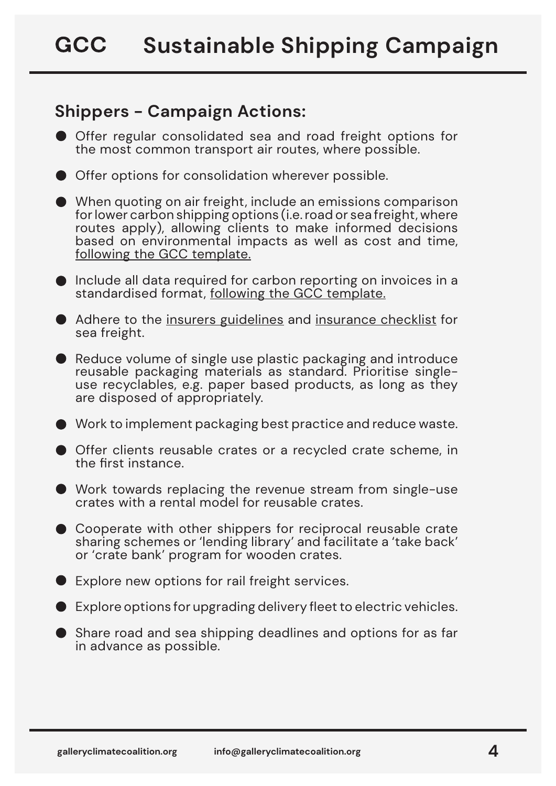## <span id="page-4-0"></span>**Shippers - Campaign Actions:**

- Offer regular consolidated sea and road freight options for the most common transport air routes, where possible.
- Offer options for consolidation wherever possible.
- When quoting on air freight, include an emissions comparison for lower carbon shipping options (i.e. road or sea freight, where routes apply), allowing clients to make informed decisions based on environmental impacts as well as cost and time, [following the GCC template.](https://galleryclimatecoalition.org/usr/library/documents/ssc/gcc_ssc_emissions-data-standardisation.pdf)
- Include all data required for carbon reporting on invoices in a standardised format[, following the GCC template.](https://galleryclimatecoalition.org/usr/library/documents/ssc/gcc_ssc_emissions-data-standardisation.pdf)
- Adhere to th[e insurers guidelines](https://galleryclimatecoalition.org/usr/library/documents/ssc/gcc_ssc_insurance-full-doc.pdf) and [insurance checklist](https://galleryclimatecoalition.org/usr/library/documents/ssc/gcc_ssc_insurance-full-doc.pdf) for sea freight.
- Reduce volume of single use plastic packaging and introduce reusable packaging materials as standard. Prioritise singleuse recyclables, e.g. paper based products, as long as they are disposed of appropriately.
- Work to implement packaging best practice and reduce waste.
- Offer clients reusable crates or a recycled crate scheme, in the first instance.
- Work towards replacing the revenue stream from single-use crates with a rental model for reusable crates.
- **Cooperate with other shippers for reciprocal reusable crate** sharing schemes or 'lending library' and facilitate a 'take back' or 'crate bank' program for wooden crates.
- Explore new options for rail freight services.
- Explore options for upgrading delivery fleet to electric vehicles.
- Share road and sea shipping deadlines and options for as far in advance as possible.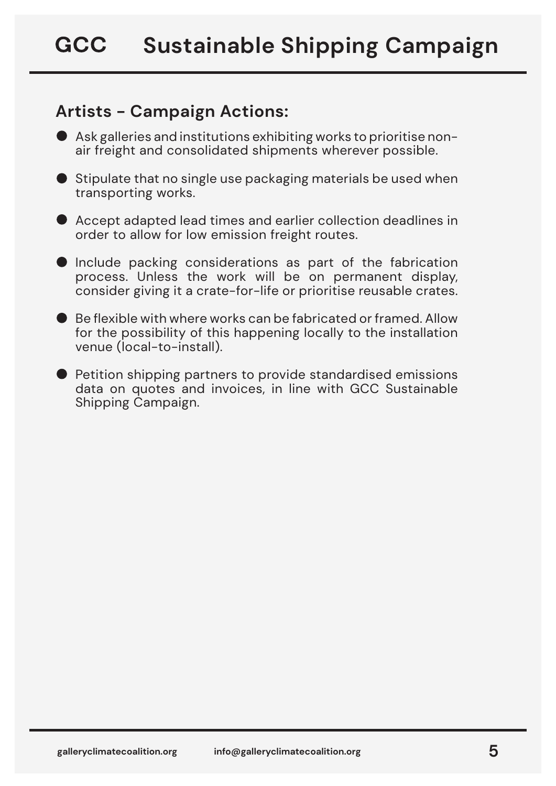## <span id="page-5-0"></span>**Artists - Campaign Actions:**

- Ask galleries and institutions exhibiting works to prioritise nonair freight and consolidated shipments wherever possible.
- $\blacktriangleright$  Stipulate that no single use packaging materials be used when transporting works.
- Accept adapted lead times and earlier collection deadlines in order to allow for low emission freight routes.
- **Include packing considerations as part of the fabrication** process. Unless the work will be on permanent display, consider giving it a crate-for-life or prioritise reusable crates.
- Be flexible with where works can be fabricated or framed. Allow for the possibility of this happening locally to the installation venue (local-to-install).
- **Petition shipping partners to provide standardised emissions** data on quotes and invoices, in line with GCC Sustainable Shipping Campaign.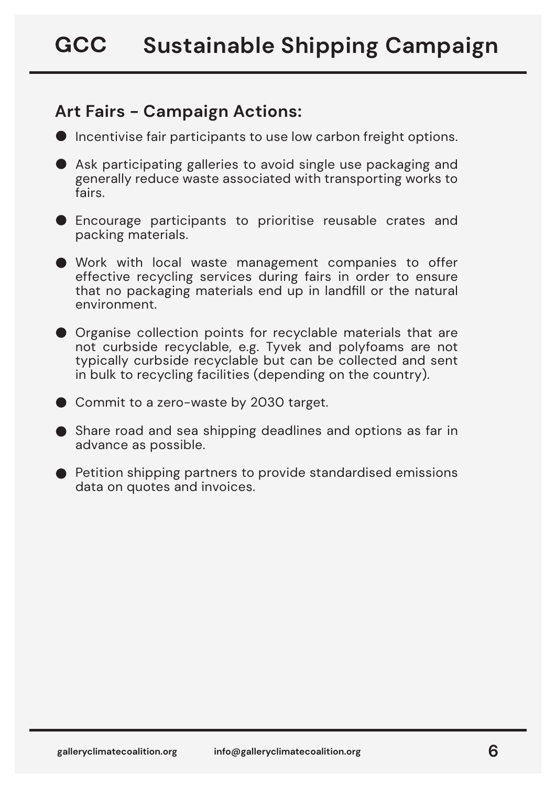## <span id="page-6-0"></span>**Art Fairs - Campaign Actions:**

- **Incentivise fair participants to use low carbon freight options.**
- Ask participating galleries to avoid single use packaging and generally reduce waste associated with transporting works to fairs.
- **D** Encourage participants to prioritise reusable crates and packing materials.
- Work with local waste management companies to offer effective recycling services during fairs in order to ensure that no packaging materials end up in landfill or the natural environment.
- **Organise collection points for recyclable materials that are** not curbside recyclable, e.g. Tyvek and polyfoams are not typically curbside recyclable but can be collected and sent in bulk to recycling facilities (depending on the country).
- Commit to a zero-waste by 2030 target.
- Share road and sea shipping deadlines and options as far in advance as possible.
- Petition shipping partners to provide standardised emissions data on quotes and invoices.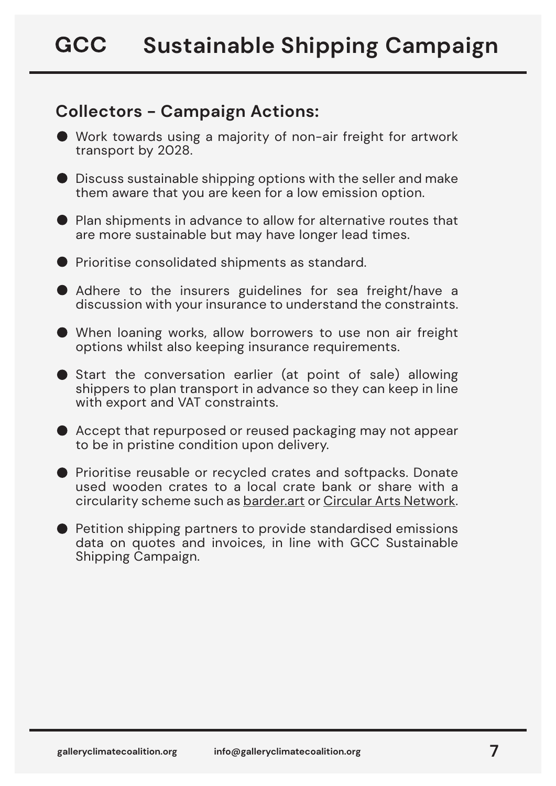### <span id="page-7-0"></span>**Collectors - Campaign Actions:**

- Work towards using a majority of non-air freight for artwork transport by 2028.
- Discuss sustainable shipping options with the seller and make them aware that you are keen for a low emission option.
- Plan shipments in advance to allow for alternative routes that are more sustainable but may have longer lead times.
- **•** Prioritise consolidated shipments as standard.
- Adhere to the insurers guidelines for sea freight/have a discussion with your insurance to understand the constraints.
- When loaning works, allow borrowers to use non air freight options whilst also keeping insurance requirements.
- Start the conversation earlier (at point of sale) allowing shippers to plan transport in advance so they can keep in line with export and VAT constraints.
- Accept that repurposed or reused packaging may not appear to be in pristine condition upon delivery.
- **•** Prioritise reusable or recycled crates and softpacks. Donate used wooden crates to a local crate bank or share with a circularity scheme such a[s barder.art](https://www.barder.art/) o[r Circular Arts Network.](https://www.canarts.org.uk/)
- Petition shipping partners to provide standardised emissions data on quotes and invoices, in line with GCC Sustainable Shipping Campaign.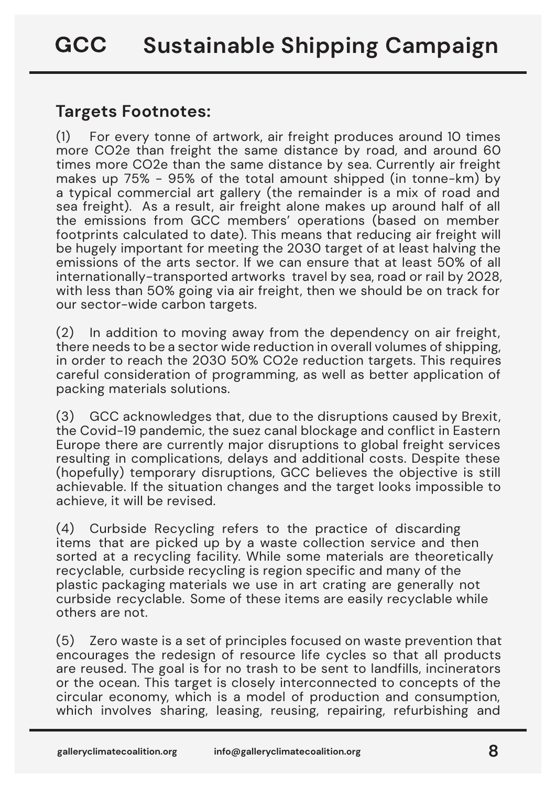#### <span id="page-8-0"></span>**Targets Footnotes:**

(1) For every tonne of artwork, air freight produces around 10 times more CO2e than freight the same distance by road, and around 60 times more CO2e than the same distance by sea. Currently air freight makes up 75% - 95% of the total amount shipped (in tonne-km) by a typical commercial art gallery (the remainder is a mix of road and sea freight). As a result, air freight alone makes up around half of all the emissions from GCC members' operations (based on member footprints calculated to date). This means that reducing air freight will be hugely important for meeting the 2030 target of at least halving the emissions of the arts sector. If we can ensure that at least 50% of all internationally-transported artworks travel by sea, road or rail by 2028, with less than 50% going via air freight, then we should be on track for our sector-wide carbon targets.

(2) In addition to moving away from the dependency on air freight, there needs to be a sector wide reduction in overall volumes of shipping, in order to reach the 2030 50% CO2e reduction targets. This requires careful consideration of programming, as well as better application of packing materials solutions.

(3) GCC acknowledges that, due to the disruptions caused by Brexit, the Covid-19 pandemic, the suez canal blockage and conflict in Eastern Europe there are currently major disruptions to global freight services resulting in complications, delays and additional costs. Despite these (hopefully) temporary disruptions, GCC believes the objective is still achievable. If the situation changes and the target looks impossible to achieve, it will be revised.

(4) Curbside Recycling refers to the practice of discarding items that are picked up by a waste collection service and then sorted at a recycling facility. While some materials are theoretically recyclable, curbside recycling is region specific and many of the plastic packaging materials we use in art crating are generally not curbside recyclable. Some of these items are easily recyclable while others are not.

(5) Zero waste is a set of principles focused on waste prevention that encourages the redesign of resource life cycles so that all products are reused. The goal is for no trash to be sent to landfills, incinerators or the ocean. This target is closely interconnected to concepts of the circular economy, which is a model of production and consumption, which involves sharing, leasing, reusing, repairing, refurbishing and